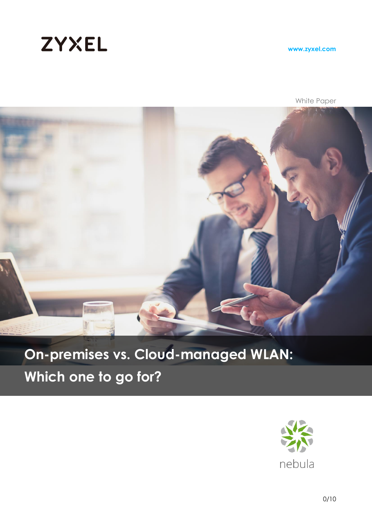

**www.zyxel.com**

White Paper



### **On-premises vs. Cloud-managed WLAN:**

**Which one to go for?**

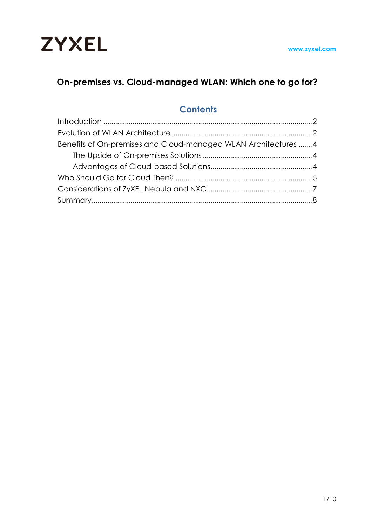

### **On-premises vs. Cloud-managed WLAN: Which one to go for?**

### **Contents**

| Benefits of On-premises and Cloud-managed WLAN Architectures 4 |  |
|----------------------------------------------------------------|--|
|                                                                |  |
|                                                                |  |
|                                                                |  |
|                                                                |  |
|                                                                |  |
|                                                                |  |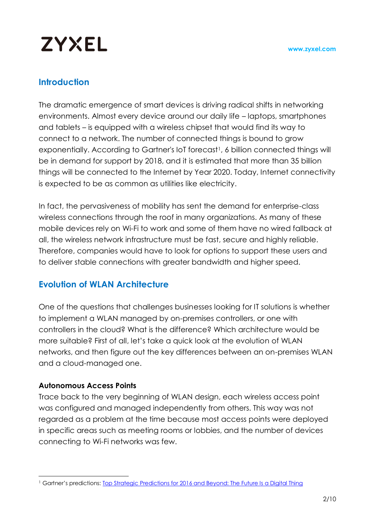### **Introduction**

The dramatic emergence of smart devices is driving radical shifts in networking environments. Almost every device around our daily life – laptops, smartphones and tablets – is equipped with a wireless chipset that would find its way to connect to a network. The number of connected things is bound to grow exponentially. According to Gartner's IoT forecast<sup>1</sup>, 6 billion connected things will be in demand for support by 2018, and it is estimated that more than 35 billion things will be connected to the Internet by Year 2020. Today, Internet connectivity is expected to be as common as utilities like electricity.

In fact, the pervasiveness of mobility has sent the demand for enterprise-class wireless connections through the roof in many organizations. As many of these mobile devices rely on Wi-Fi to work and some of them have no wired fallback at all, the wireless network infrastructure must be fast, secure and highly reliable. Therefore, companies would have to look for options to support these users and to deliver stable connections with greater bandwidth and higher speed.

### **Evolution of WLAN Architecture**

One of the questions that challenges businesses looking for IT solutions is whether to implement a WLAN managed by on-premises controllers, or one with controllers in the cloud? What is the difference? Which architecture would be more suitable? First of all, let's take a quick look at the evolution of WLAN networks, and then figure out the key differences between an on-premises WLAN and a cloud-managed one.

#### **Autonomous Access Points**

Trace back to the very beginning of WLAN design, each wireless access point was configured and managed independently from others. This way was not regarded as a problem at the time because most access points were deployed in specific areas such as meeting rooms or lobbies, and the number of devices connecting to Wi-Fi networks was few.

 $\overline{a}$ <sup>1</sup> Gartner's predictions: Top Strategic [Predictions for 2016 and Beyond: The Future Is a Digital Thing](https://www.gartner.com/doc/3142020?ref=SiteSearch&sthkw=The%20number%20of%20connected%20things%20is%20set%20to%20grow%20exponentially&fnl=search&srcId=1-3478922254)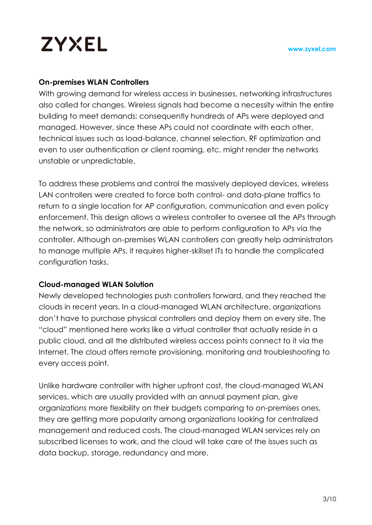#### **On-premises WLAN Controllers**

With growing demand for wireless access in businesses, networking infrastructures also called for changes. Wireless signals had become a necessity within the entire building to meet demands; consequently hundreds of APs were deployed and managed. However, since these APs could not coordinate with each other, technical issues such as load-balance, channel selection, RF optimization and even to user authentication or client roaming, etc. might render the networks unstable or unpredictable.

To address these problems and control the massively deployed devices, wireless LAN controllers were created to force both control- and data-plane traffics to return to a single location for AP configuration, communication and even policy enforcement. This design allows a wireless controller to oversee all the APs through the network, so administrators are able to perform configuration to APs via the controller. Although on-premises WLAN controllers can greatly help administrators to manage multiple APs, it requires higher-skillset ITs to handle the complicated configuration tasks.

### **Cloud-managed WLAN Solution**

Newly developed technologies push controllers forward, and they reached the clouds in recent years. In a cloud-managed WLAN architecture, organizations don't have to purchase physical controllers and deploy them on every site. The "cloud" mentioned here works like a virtual controller that actually reside in a public cloud, and all the distributed wireless access points connect to it via the Internet. The cloud offers remote provisioning, monitoring and troubleshooting to every access point.

Unlike hardware controller with higher upfront cost, the cloud-managed WLAN services, which are usually provided with an annual payment plan, give organizations more flexibility on their budgets comparing to on-premises ones, they are getting more popularity among organizations looking for centralized management and reduced costs. The cloud-managed WLAN services rely on subscribed licenses to work, and the cloud will take care of the issues such as data backup, storage, redundancy and more.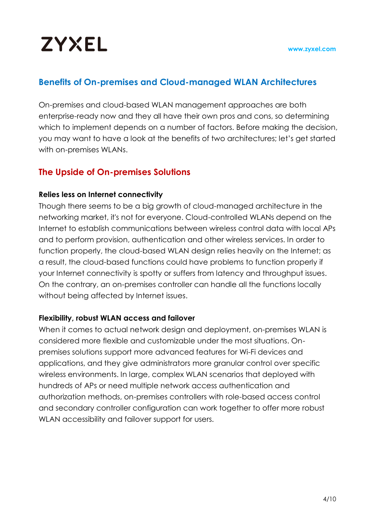### **Benefits of On-premises and Cloud-managed WLAN Architectures**

On-premises and cloud-based WLAN management approaches are both enterprise-ready now and they all have their own pros and cons, so determining which to implement depends on a number of factors. Before making the decision, you may want to have a look at the benefits of two architectures; let's get started with on-premises WLANs.

### **The Upside of On-premises Solutions**

#### **Relies less on Internet connectivity**

Though there seems to be a big growth of cloud-managed architecture in the networking market, it's not for everyone. Cloud-controlled WLANs depend on the Internet to establish communications between wireless control data with local APs and to perform provision, authentication and other wireless services. In order to function properly, the cloud-based WLAN design relies heavily on the Internet; as a result, the cloud-based functions could have problems to function properly if your Internet connectivity is spotty or suffers from latency and throughput issues. On the contrary, an on-premises controller can handle all the functions locally without being affected by Internet issues.

### **Flexibility, robust WLAN access and failover**

When it comes to actual network design and deployment, on-premises WLAN is considered more flexible and customizable under the most situations. Onpremises solutions support more advanced features for Wi-Fi devices and applications, and they give administrators more granular control over specific wireless environments. In large, complex WLAN scenarios that deployed with hundreds of APs or need multiple network access authentication and authorization methods, on-premises controllers with role-based access control and secondary controller configuration can work together to offer more robust WLAN accessibility and failover support for users.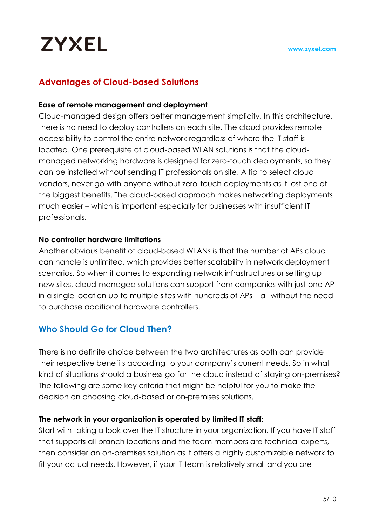### **Advantages of Cloud-based Solutions**

### **Ease of remote management and deployment**

Cloud-managed design offers better management simplicity. In this architecture, there is no need to deploy controllers on each site. The cloud provides remote accessibility to control the entire network regardless of where the IT staff is located. One prerequisite of cloud-based WLAN solutions is that the cloudmanaged networking hardware is designed for zero-touch deployments, so they can be installed without sending IT professionals on site. A tip to select cloud vendors, never go with anyone without zero-touch deployments as it lost one of the biggest benefits. The cloud-based approach makes networking deployments much easier – which is important especially for businesses with insufficient IT professionals.

### **No controller hardware limitations**

Another obvious benefit of cloud-based WLANs is that the number of APs cloud can handle is unlimited, which provides better scalability in network deployment scenarios. So when it comes to expanding network infrastructures or setting up new sites, cloud-managed solutions can support from companies with just one AP in a single location up to multiple sites with hundreds of APs – all without the need to purchase additional hardware controllers.

### **Who Should Go for Cloud Then?**

There is no definite choice between the two architectures as both can provide their respective benefits according to your company's current needs. So in what kind of situations should a business go for the cloud instead of staying on-premises? The following are some key criteria that might be helpful for you to make the decision on choosing cloud-based or on-premises solutions.

### **The network in your organization is operated by limited IT staff:**

Start with taking a look over the IT structure in your organization. If you have IT staff that supports all branch locations and the team members are technical experts, then consider an on-premises solution as it offers a highly customizable network to fit your actual needs. However, if your IT team is relatively small and you are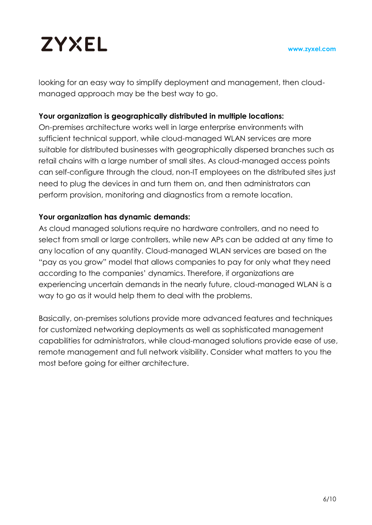looking for an easy way to simplify deployment and management, then cloudmanaged approach may be the best way to go.

#### **Your organization is geographically distributed in multiple locations:**

On-premises architecture works well in large enterprise environments with sufficient technical support, while cloud-managed WLAN services are more suitable for distributed businesses with geographically dispersed branches such as retail chains with a large number of small sites. As cloud-managed access points can self-configure through the cloud, non-IT employees on the distributed sites just need to plug the devices in and turn them on, and then administrators can perform provision, monitoring and diagnostics from a remote location.

#### **Your organization has dynamic demands:**

As cloud managed solutions require no hardware controllers, and no need to select from small or large controllers, while new APs can be added at any time to any location of any quantity. Cloud-managed WLAN services are based on the "pay as you grow" model that allows companies to pay for only what they need according to the companies' dynamics. Therefore, if organizations are experiencing uncertain demands in the nearly future, cloud-managed WLAN is a way to go as it would help them to deal with the problems.

Basically, on-premises solutions provide more advanced features and techniques for customized networking deployments as well as sophisticated management capabilities for administrators, while cloud-managed solutions provide ease of use, remote management and full network visibility. Consider what matters to you the most before going for either architecture.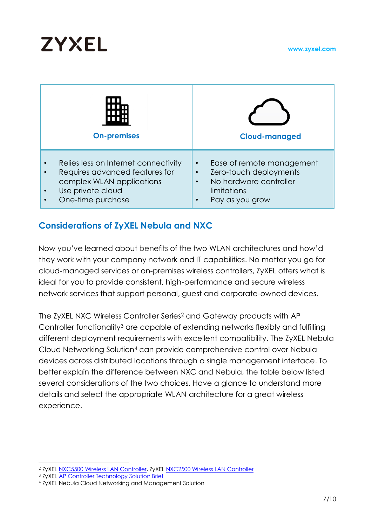| <b>On-premises</b>                   | <b>Cloud-managed</b>      |  |
|--------------------------------------|---------------------------|--|
| Relies less on Internet connectivity | Ease of remote management |  |
| $\bullet$                            | $\bullet$                 |  |
| Requires advanced features for       | Zero-touch deployments    |  |
| complex WLAN applications            | No hardware controller    |  |
| Use private cloud                    | limitations               |  |
| One-time purchase                    | Pay as you grow           |  |

### **Considerations of ZyXEL Nebula and NXC**

Now you've learned about benefits of the two WLAN architectures and how'd they work with your company network and IT capabilities. No matter you go for cloud-managed services or on-premises wireless controllers, ZyXEL offers what is ideal for you to provide consistent, high-performance and secure wireless network services that support personal, guest and corporate-owned devices.

The ZyXEL NXC Wireless Controller Series<sup>2</sup> and Gateway products with AP Controller functionality<sup>3</sup> are capable of extending networks flexibly and fulfilling different deployment requirements with excellent compatibility. The ZyXEL Nebula Cloud Networking Solution<sup>4</sup> can provide comprehensive control over Nebula devices across distributed locations through a single management interface. To better explain the difference between NXC and Nebula, the table below listed several considerations of the two choices. Have a glance to understand more details and select the appropriate WLAN architecture for a great wireless experience.

 $\overline{a}$ <sup>2</sup> ZyXEL [NXC5500 Wireless LAN Controller,](ftp://ftp.zyxel.com/NXC5500/datasheet/NXC5500_10.pdf) ZyXE[L NXC2500 Wireless LAN Controller](ftp://ftp.zyxel.com/NXC2500/datasheet/NXC2500_7.pdf)

<sup>3</sup> ZyXEL [AP Controller Technology Solution Brief](http://www.zyxel.com/objects/e-Brochures/Solution-Guide/AP-Controller-Technology.shtml)

<sup>4</sup> ZyXEL Nebula Cloud Networking and Management Solution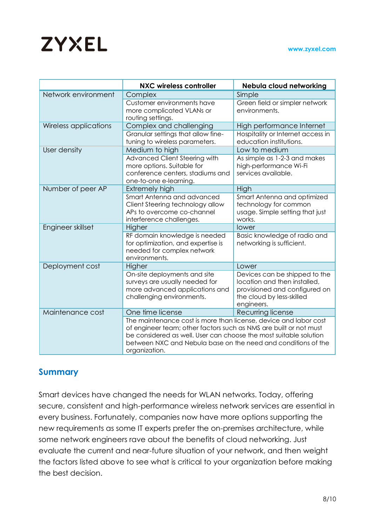|                       | <b>NXC wireless controller</b>                                                                                                                                                                                                                                                                                                        | Nebula cloud networking                                                                                                                            |
|-----------------------|---------------------------------------------------------------------------------------------------------------------------------------------------------------------------------------------------------------------------------------------------------------------------------------------------------------------------------------|----------------------------------------------------------------------------------------------------------------------------------------------------|
| Network environment   | Complex<br>Customer environments have<br>more complicated VLANs or<br>routing settings.                                                                                                                                                                                                                                               | Simple<br>Green field or simpler network<br>environments.                                                                                          |
| Wireless applications | Complex and challenging<br>Granular settings that allow fine-<br>tuning to wireless parameters.                                                                                                                                                                                                                                       | High performance Internet<br>Hospitality or Internet access in<br>education institutions.                                                          |
| User density          | Medium to high<br>Advanced Client Steering with<br>more options. Suitable for<br>conference centers, stadiums and<br>one-to-one e-learning.                                                                                                                                                                                           | Low to medium<br>As simple as 1-2-3 and makes<br>high-performance Wi-Fi<br>services available.                                                     |
| Number of peer AP     | Extremely high<br>Smart Antenna and advanced<br>Client Steering technology allow<br>APs to overcome co-channel<br>interference challenges.                                                                                                                                                                                            | High<br>Smart Antenna and optimized<br>technology for common<br>usage. Simple setting that just<br>works.                                          |
| Engineer skillset     | Higher<br>RF domain knowledge is needed<br>for optimization, and expertise is<br>needed for complex network<br>environments.                                                                                                                                                                                                          | lower<br>Basic knowledge of radio and<br>networking is sufficient.                                                                                 |
| Deployment cost       | Higher<br>On-site deployments and site<br>surveys are usually needed for<br>more advanced applications and<br>challenging environments.                                                                                                                                                                                               | Lower<br>Devices can be shipped to the<br>location and then installed,<br>provisioned and configured on<br>the cloud by less-skilled<br>engineers. |
| Maintenance cost      | One time license<br>Recurring license<br>The maintenance cost is more than license, device and labor cost<br>of engineer team; other factors such as NMS are built or not must<br>be considered as well. User can choose the most suitable solution<br>between NXC and Nebula base on the need and conditions of the<br>organization. |                                                                                                                                                    |

### **Summary**

Smart devices have changed the needs for WLAN networks. Today, offering secure, consistent and high-performance wireless network services are essential in every business. Fortunately, companies now have more options supporting the new requirements as some IT experts prefer the on-premises architecture, while some network engineers rave about the benefits of cloud networking. Just evaluate the current and near-future situation of your network, and then weight the factors listed above to see what is critical to your organization before making the best decision.